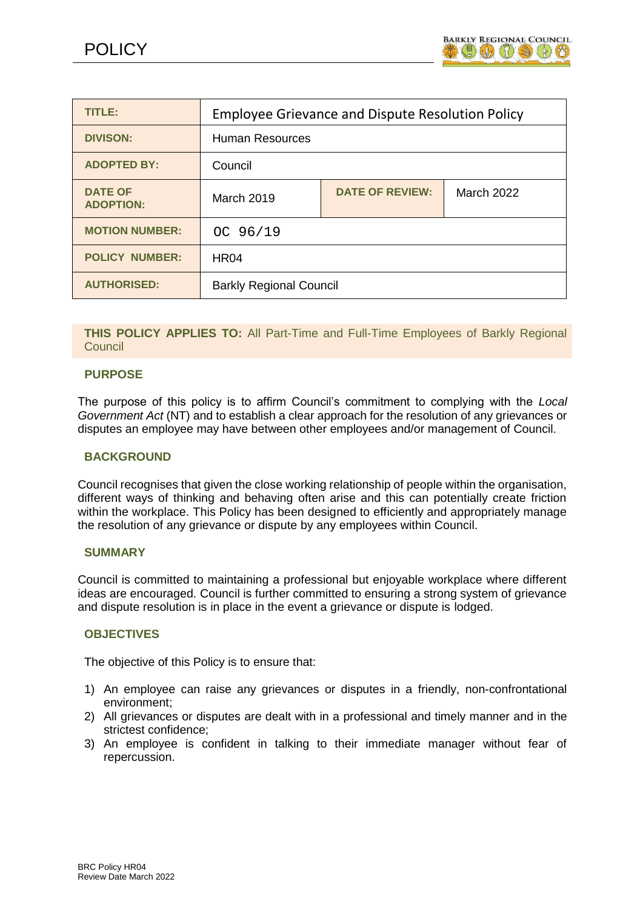

| <b>TITLE:</b>                      | <b>Employee Grievance and Dispute Resolution Policy</b> |                        |                   |
|------------------------------------|---------------------------------------------------------|------------------------|-------------------|
| <b>DIVISON:</b>                    | <b>Human Resources</b>                                  |                        |                   |
| <b>ADOPTED BY:</b>                 | Council                                                 |                        |                   |
| <b>DATE OF</b><br><b>ADOPTION:</b> | <b>March 2019</b>                                       | <b>DATE OF REVIEW:</b> | <b>March 2022</b> |
| <b>MOTION NUMBER:</b>              | OC 96/19                                                |                        |                   |
| <b>POLICY NUMBER:</b>              | <b>HR04</b>                                             |                        |                   |
| <b>AUTHORISED:</b>                 | <b>Barkly Regional Council</b>                          |                        |                   |

## **THIS POLICY APPLIES TO:** All Part-Time and Full-Time Employees of Barkly Regional **Council**

### **PURPOSE**

The purpose of this policy is to affirm Council's commitment to complying with the *Local Government Act* (NT) and to establish a clear approach for the resolution of any grievances or disputes an employee may have between other employees and/or management of Council.

### **BACKGROUND**

Council recognises that given the close working relationship of people within the organisation, different ways of thinking and behaving often arise and this can potentially create friction within the workplace. This Policy has been designed to efficiently and appropriately manage the resolution of any grievance or dispute by any employees within Council.

### **SUMMARY**

Council is committed to maintaining a professional but enjoyable workplace where different ideas are encouraged. Council is further committed to ensuring a strong system of grievance and dispute resolution is in place in the event a grievance or dispute is lodged.

### **OBJECTIVES**

The objective of this Policy is to ensure that:

- 1) An employee can raise any grievances or disputes in a friendly, non-confrontational environment;
- 2) All grievances or disputes are dealt with in a professional and timely manner and in the strictest confidence;
- 3) An employee is confident in talking to their immediate manager without fear of repercussion.